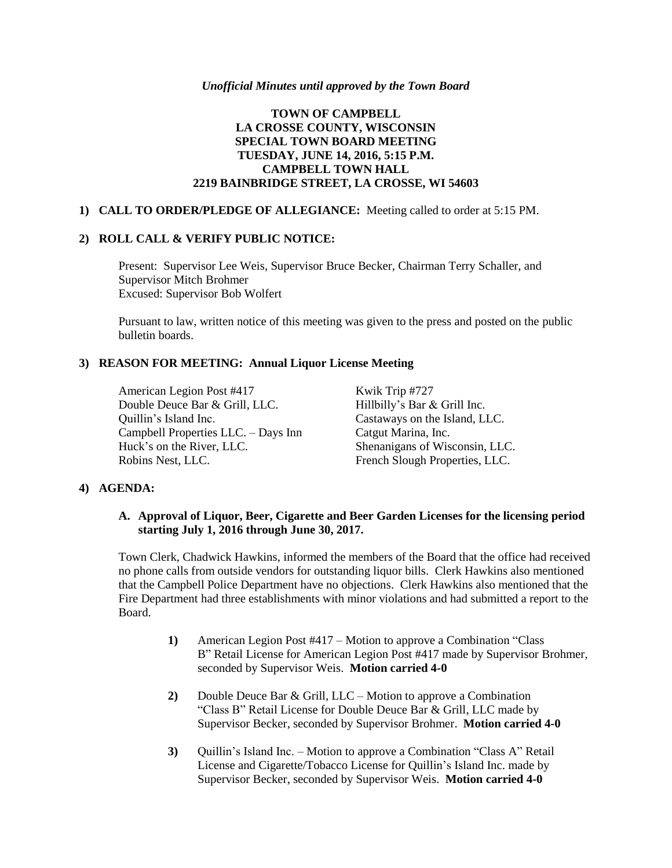#### *Unofficial Minutes until approved by the Town Board*

# **TOWN OF CAMPBELL LA CROSSE COUNTY, WISCONSIN SPECIAL TOWN BOARD MEETING TUESDAY, JUNE 14, 2016, 5:15 P.M. CAMPBELL TOWN HALL 2219 BAINBRIDGE STREET, LA CROSSE, WI 54603**

### **1) CALL TO ORDER/PLEDGE OF ALLEGIANCE:** Meeting called to order at 5:15 PM.

#### **2) ROLL CALL & VERIFY PUBLIC NOTICE:**

Present: Supervisor Lee Weis, Supervisor Bruce Becker, Chairman Terry Schaller, and Supervisor Mitch Brohmer Excused: Supervisor Bob Wolfert

Pursuant to law, written notice of this meeting was given to the press and posted on the public bulletin boards.

### **3) REASON FOR MEETING: Annual Liquor License Meeting**

American Legion Post #417 Kwik Trip #727<br>Double Deuce Bar & Grill, LLC. Hillbilly's Bar & Grill Inc. Double Deuce Bar & Grill, LLC. Quillin's Island Inc. Castaways on the Island, LLC. Campbell Properties LLC. – Days Inn Catgut Marina, Inc. Huck's on the River, LLC. Shenanigans of Wisconsin, LLC. Robins Nest, LLC. French Slough Properties, LLC.

### **4) AGENDA:**

### **A. Approval of Liquor, Beer, Cigarette and Beer Garden Licenses for the licensing period starting July 1, 2016 through June 30, 2017.**

Town Clerk, Chadwick Hawkins, informed the members of the Board that the office had received no phone calls from outside vendors for outstanding liquor bills. Clerk Hawkins also mentioned that the Campbell Police Department have no objections. Clerk Hawkins also mentioned that the Fire Department had three establishments with minor violations and had submitted a report to the Board.

- **1)** American Legion Post #417 Motion to approve a Combination "Class B" Retail License for American Legion Post #417 made by Supervisor Brohmer, seconded by Supervisor Weis. **Motion carried 4-0**
- **2)** Double Deuce Bar & Grill, LLC Motion to approve a Combination "Class B" Retail License for Double Deuce Bar & Grill, LLC made by Supervisor Becker, seconded by Supervisor Brohmer. **Motion carried 4-0**
- **3)** Quillin's Island Inc. Motion to approve a Combination "Class A" Retail License and Cigarette/Tobacco License for Quillin's Island Inc. made by Supervisor Becker, seconded by Supervisor Weis. **Motion carried 4-0**